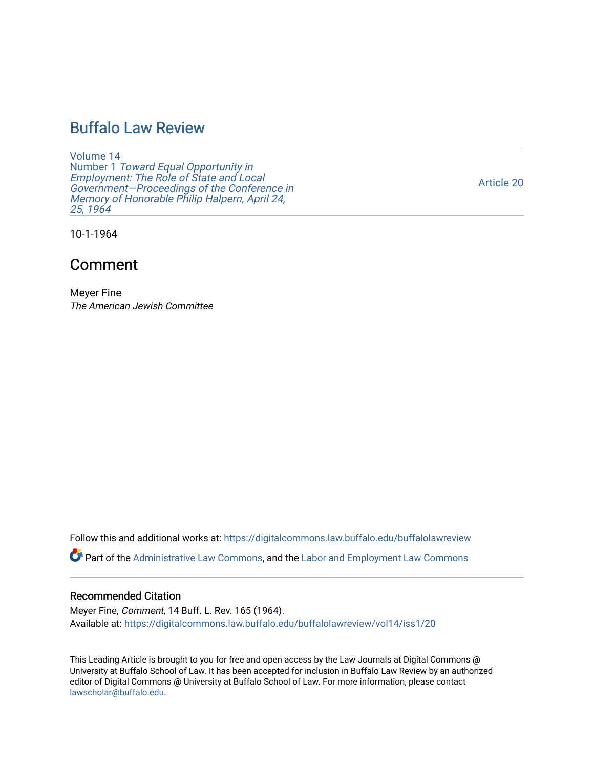# [Buffalo Law Review](https://digitalcommons.law.buffalo.edu/buffalolawreview)

[Volume 14](https://digitalcommons.law.buffalo.edu/buffalolawreview/vol14) Number 1 [Toward Equal Opportunity in](https://digitalcommons.law.buffalo.edu/buffalolawreview/vol14/iss1)  [Employment: The Role of State and Local](https://digitalcommons.law.buffalo.edu/buffalolawreview/vol14/iss1)  [Government—Proceedings of the Conference in](https://digitalcommons.law.buffalo.edu/buffalolawreview/vol14/iss1)  [Memory of Honorable Philip Halpern, April 24,](https://digitalcommons.law.buffalo.edu/buffalolawreview/vol14/iss1)  [25, 1964](https://digitalcommons.law.buffalo.edu/buffalolawreview/vol14/iss1) 

[Article 20](https://digitalcommons.law.buffalo.edu/buffalolawreview/vol14/iss1/20) 

10-1-1964

# Comment

Meyer Fine The American Jewish Committee

Follow this and additional works at: [https://digitalcommons.law.buffalo.edu/buffalolawreview](https://digitalcommons.law.buffalo.edu/buffalolawreview?utm_source=digitalcommons.law.buffalo.edu%2Fbuffalolawreview%2Fvol14%2Fiss1%2F20&utm_medium=PDF&utm_campaign=PDFCoverPages) 

Part of the [Administrative Law Commons,](http://network.bepress.com/hgg/discipline/579?utm_source=digitalcommons.law.buffalo.edu%2Fbuffalolawreview%2Fvol14%2Fiss1%2F20&utm_medium=PDF&utm_campaign=PDFCoverPages) and the [Labor and Employment Law Commons](http://network.bepress.com/hgg/discipline/909?utm_source=digitalcommons.law.buffalo.edu%2Fbuffalolawreview%2Fvol14%2Fiss1%2F20&utm_medium=PDF&utm_campaign=PDFCoverPages) 

## Recommended Citation

Meyer Fine, Comment, 14 Buff. L. Rev. 165 (1964). Available at: [https://digitalcommons.law.buffalo.edu/buffalolawreview/vol14/iss1/20](https://digitalcommons.law.buffalo.edu/buffalolawreview/vol14/iss1/20?utm_source=digitalcommons.law.buffalo.edu%2Fbuffalolawreview%2Fvol14%2Fiss1%2F20&utm_medium=PDF&utm_campaign=PDFCoverPages)

This Leading Article is brought to you for free and open access by the Law Journals at Digital Commons @ University at Buffalo School of Law. It has been accepted for inclusion in Buffalo Law Review by an authorized editor of Digital Commons @ University at Buffalo School of Law. For more information, please contact [lawscholar@buffalo.edu](mailto:lawscholar@buffalo.edu).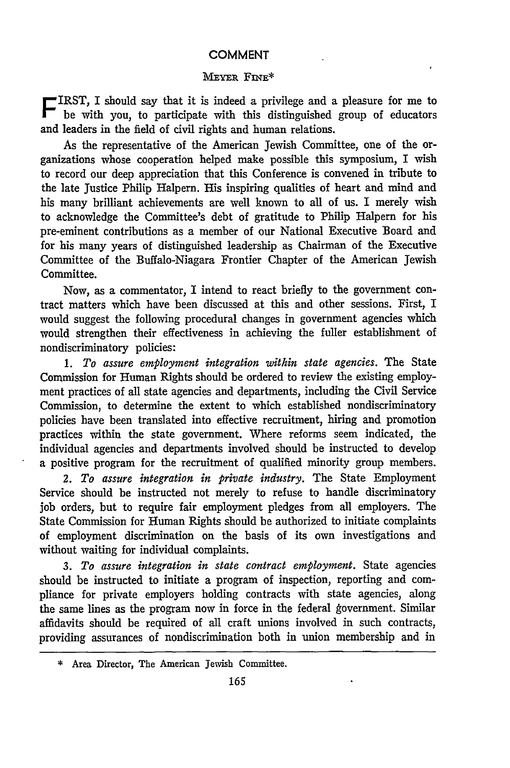#### COMMENT

### MEYER FINE\*

**F** IRST, I should say that it is indeed a privilege and a pleasure for me to be with you, to participate with this distinguished group of educators and leaders in the field of civil rights and human relations.

As the representative of the American Jewish Committee, one of the organizations whose cooperation helped make possible this symposium, I wish to record our deep appreciation that this Conference is convened in tribute to the late Justice Philip Halpern. His inspiring qualities of heart and mind and his many brilliant achievements are well known to all of us. I merely wish to acknowledge the Committee's debt of gratitude to Philip Halpern for his pre-eminent contributions as a member of our National Executive Board and for his many years of distinguished leadership as Chairman of the Executive Committee of the Buffalo-Niagara Frontier Chapter of the American Jewish Committee.

Now, as a commentator, I intend to react briefly to the government contract matters which have been discussed at this and other sessions. First, I would suggest the following procedural changes in government agencies which would strengthen their effectiveness in achieving the fuller establishment of nondiscriminatory policies:

*1. To assure employment integration within state agencies.* The State Commission for Human Rights should be ordered to review the existing employment practices of all state agencies and departments, including the Civil Service Commission, to determine the extent to which established nondiscriminatory policies have been translated into effective recruitment, hiring and promotion practices within the state government. Where reforms seem indicated, the individual agencies and departments involved should be instructed to develop a positive program for the recruitment of qualified minority group members.

*2. To assure integration in private industry.* The State Employment Service should be instructed not merely to refuse to handle discriminatory job orders, but to require fair employment pledges from all employers. The State Commission for Human Rights should be authorized to initiate complaints of employment discrimination on the basis of its own investigations and without waiting for individual complaints.

*3. To assure integration in state contract employment.* State agencies should be instructed to initiate a program of inspection, reporting and compliance for private employers holding contracts with state agencies, along the same lines as the program now in force in the federal government. Similar affidavits should be required of all craft unions involved in such contracts, providing assurances of nondiscrimination both in union membership and in

<sup>\*</sup> Area Director, The American Jewish Committee.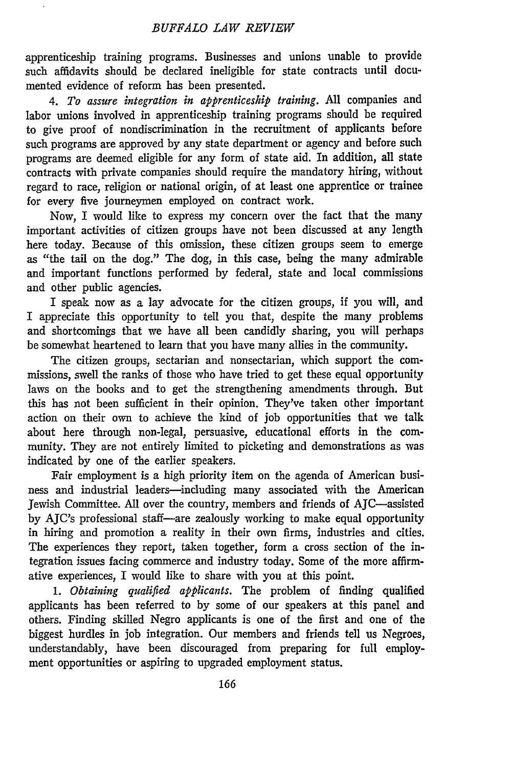apprenticeship training programs. Businesses and unions unable to provide such affidavits should be declared ineligible for state contracts until documented evidence of reform has been presented.

*4. To assure integration in apprenticeship training.* **All** companies and labor unions involved in apprenticeship training programs should be required to give proof of nondiscrimination in the recruitment of applicants before such programs are approved **by** any state department or agency and before such programs are deemed eligible for any form of state aid. In addition, all state contracts with private companies should require the mandatory hiring, without regard to race, religion or national origin, of at least one apprentice or trainee for every five journeymen employed on contract work.

Now, I would like to express my concern over the fact that the many important activities of citizen groups have not been discussed at any length here today. Because of this omission, these citizen groups seem to emerge as "the tail on the dog." The dog, in this case, being the many admirable and important functions performed **by** federal, state and local commissions and other public agencies.

I speak now as a lay advocate for the citizen groups, if you will, and I appreciate this opportunity to tell you that, despite the many problems and shortcomings that we have all been candidly sharing, you will perhaps be somewhat heartened to learn that you have many allies in the community.

The citizen groups, sectarian and nonsectarian, which support the commissions, swell the ranks of those who have tried to get these equal opportunity laws on the books and to get the strengthening amendments through. But this has not been sufficient in their opinion. They've taken other important action on their own to achieve the kind of **job** opportunities that we talk about here through non-legal, persuasive, educational efforts in the community. They are not entirely limited to picketing and demonstrations as was indicated **by** one of the earlier speakers.

Fair employment is a high priority item on the agenda of American business and industrial leaders-including many associated with the American Jewish Committee. All over the country, members and friends of AJC-assisted **by** AJC's professional staff-are zealously working to make equal opportunity in hiring and promotion a reality in their own firms, industries and cities. The experiences they report, taken together, form a cross section of the integration issues facing commerce and industry today. Some of the more affirmative experiences, I would like to share with you at this point.

*1. Obtaining qualified applicants.* The problem of finding qualified applicants has been referred to by some of our speakers at this panel and others. Finding skilled Negro applicants is one of the first and one of the biggest hurdles in job integration. Our members and friends tell us Negroes, understandably, have been discouraged from preparing for full employment opportunities or aspiring to upgraded employment status.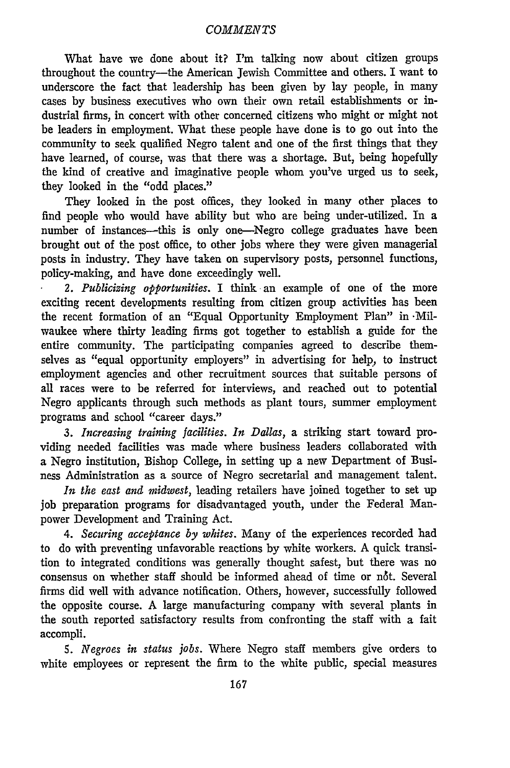What have we done about it? I'm talking now about citizen groups throughout the country-the American Jewish Committee and others. I want to underscore the fact that leadership has been given by lay people, in many cases by business executives who own their own retail establishments or industrial firms, in concert with other concerned citizens who might or might not be leaders in employment. What these people have done is to go out into the community to seek qualified Negro talent and one of the first things that they have learned, of course, was that there was a shortage. But, being hopefully the kind of creative and imaginative people whom you've urged us to seek, they looked in the "odd places."

They looked in the post offices, they looked in many other places to find people who would have ability but who are being under-utilized. In a number of instances--this is only one-Negro college graduates have been brought out of the post office, to other jobs where they were given managerial posts in industry. They have taken on supervisory posts, personnel functions, policy-making, and have done exceedingly well.

*2. Publicizing opportunities.* I think an example of one of the more exciting recent developments resulting from citizen group activities has been the recent formation of an "Equal Opportunity Employment Plan" in -Milwaukee where thirty leading firms got together to establish a guide for the entire community. The participating companies agreed to describe themselves as "equal opportunity employers" in advertising for help, to instruct employment agencies and other recruitment sources that suitable persons of all races were to be referred for interviews, and reached out to potential Negro applicants through such methods as plant tours, summer employment programs and school "career days."

*3. Increasing training facilities. In Dallas,* a striking start toward providing needed facilities was made where business leaders collaborated with a Negro institution, Bishop College, in setting up a new Department of Business Administration as a source of Negro secretarial and management talent.

*In the east and midwest,* leading retailers have joined together to set up **job** preparation programs for disadvantaged youth, under the Federal Manpower Development and Training Act.

*4. Securing acceptance by whites.* Many of the experiences recorded had to do with preventing unfavorable reactions **by** white workers. A quick transition to integrated conditions was generally thought safest, but there was no consensus on whether staff should be informed ahead of time or n6t. Several firms did well with advance notification. Others, however, successfully followed the opposite course. A large manufacturing company with several plants in the south reported satisfactory results from confronting the staff with a fait accompli.

*5. Negroes in status jobs.* Where Negro staff members give orders to white employees or represent the firm to the white public, special measures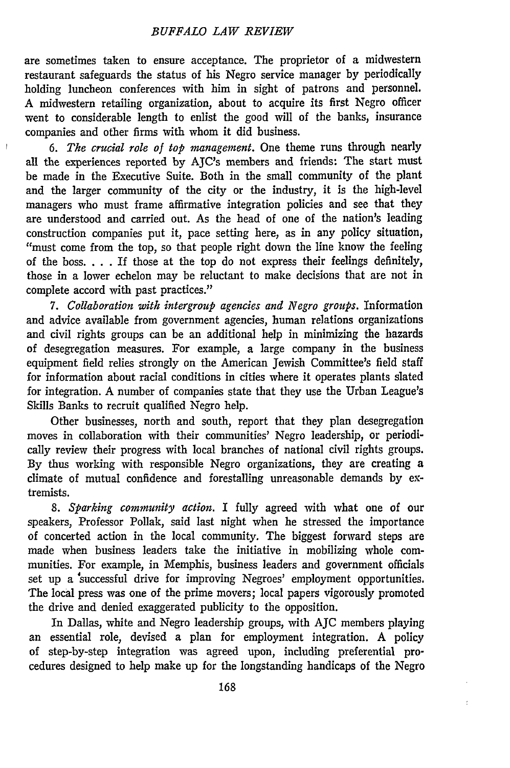are sometimes taken to ensure acceptance. The proprietor of a midwestern restaurant safeguards the status of his Negro service manager by periodically holding luncheon conferences with him in sight of patrons and personnel. A midwestern retailing organization, about to acquire its first Negro officer went to considerable length to enlist the good will of the banks, insurance companies and other firms with whom it did business.

*6. The crucial role of top management.* One theme runs through nearly all the experiences reported by AJC's members and friends: The start must be made in the Executive Suite. Both in the small community of the plant and the larger community of the city or the industry, it is the high-level managers who must frame affirmative integration policies and see that they are understood and carried out. As the head of one of the nation's leading construction companies put it, pace setting here, as in any policy situation, "must come from the top, so that people right down the line know the feeling of the boss. . **.** . If those at the top do not express their feelings definitely, those in a lower echelon may be reluctant to make decisions that are not in complete accord with past practices."

*7. Collaboration witk intergroup agencies and Negro groups.* Information and advice available from government agencies, human relations organizations and civil rights groups can be an additional help in minimizing the hazards of desegregation measures. For example, a large company in the business equipment field relies strongly on the American Jewish Committee's field staff for information about racial conditions in cities where it operates plants slated for integration. A number of companies state that they use the Urban League's Skills Banks to recruit qualified Negro help.

Other businesses, north and south, report that they plan desegregation moves in collaboration with their communities' Negro leadership, or periodically review their progress with local branches of national civil rights groups. By thus working with responsible Negro organizations, they are creating a climate of mutual confidence and forestalling unreasonable demands by extremists.

*8. Sparking community action.* I fully agreed with what one of our speakers, Professor Pollak, said last night when he stressed the importance of concerted action in the local community. The biggest forward steps are made when business leaders take the initiative in mobilizing whole communities. For example, in Memphis, business leaders and government officials set up a 'successful drive for improving Negroes' employment opportunities. The local press was one of the prime movers; local papers vigorously promoted the drive and denied exaggerated publicity to the opposition.

In Dallas, white and Negro leadership groups, with AJC members playing an essential role, devised a plan for employment integration. A policy of step-by-step integration was agreed upon, including preferential procedures designed to help make up for the longstanding handicaps of the Negro